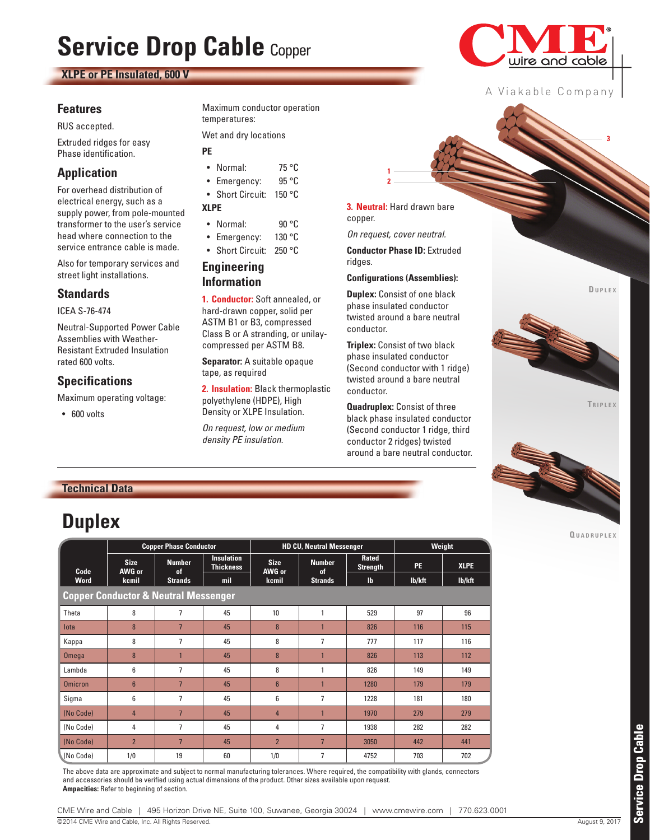# **Service Drop Cable** Copper

#### **XLPE or PE Insulated, 600 V**

#### **Features**

RUS accepted.

Extruded ridges for easy Phase identification.

#### **Application**

For overhead distribution of electrical energy, such as a supply power, from pole-mounted transformer to the user's service head where connection to the service entrance cable is made.

Also for temporary services and street light installations.

#### **Standards**

ICEA S-76-474

Neutral-Supported Power Cable Assemblies with Weather-Resistant Extruded Insulation rated 600 volts.

#### **Specifications**

Maximum operating voltage:

• 600 volts

Maximum conductor operation temperatures:

Wet and dry locations

#### **PE**

- Normal: 75 °C
- Emergency: 95 °C • Short Circuit: 150 °C

#### **XLPE**

- Normal: 90 °C
- Emergency: 130 °C
- Short Circuit: 250 °C

#### **Engineering Information**

**1. Conductor:** Soft annealed, or hard-drawn copper, solid per ASTM B1 or B3, compressed Class B or A stranding, or unilaycompressed per ASTM B8.

**Separator:** A suitable opaque tape, as required

**2. Insulation:** Black thermoplastic polyethylene (HDPE), High Density or XLPE Insulation.

*On request, low or medium density PE insulation.*

**3. Neutral:** Hard drawn bare copper.

**2 1**

*On request, cover neutral.*

**Conductor Phase ID:** Extruded ridges.

**Configurations (Assemblies):**

**Duplex:** Consist of one black phase insulated conductor twisted around a bare neutral conductor.

**Triplex:** Consist of two black phase insulated conductor (Second conductor with 1 ridge) twisted around a bare neutral conductor.

**Quadruplex:** Consist of three black phase insulated conductor (Second conductor 1 ridge, third conductor 2 ridges) twisted around a bare neutral conductor. **Du p l e x**

**3**



**Tr i p l e x**



**Q u a d r u p l e x**

## **Duplex**

|                                                 | <b>Copper Phase Conductor</b> |                                |                                       |                       | <b>HD CU, Neutral Messenger</b> | Weight                   |           |             |
|-------------------------------------------------|-------------------------------|--------------------------------|---------------------------------------|-----------------------|---------------------------------|--------------------------|-----------|-------------|
| Code                                            | <b>Size</b><br>AWG or         | <b>Number</b><br><sub>of</sub> | <b>Insulation</b><br><b>Thickness</b> | <b>Size</b><br>AWG or | <b>Number</b><br>of             | Rated<br><b>Strength</b> | <b>PE</b> | <b>XLPE</b> |
| <b>Word</b>                                     | kcmil                         | <b>Strands</b>                 | mil                                   | kcmil                 | <b>Strands</b>                  | $\mathbf{I}$             | lb/kft    | lb/kft      |
| <b>Copper Conductor &amp; Neutral Messenger</b> |                               |                                |                                       |                       |                                 |                          |           |             |
| Theta                                           | 8                             | $\overline{7}$                 | 45                                    | 10                    | $\mathbf{1}$                    | 529                      | 97        | 96          |
| lota                                            | 8                             | $\overline{7}$                 | 45                                    | 8                     | 1                               | 826                      | 116       | 115         |
| Kappa                                           | 8                             | 7                              | 45                                    | 8                     | 7                               | 777                      | 117       | 116         |
| Omega                                           | 8                             |                                | 45                                    | 8                     | $\overline{1}$                  | 826                      | 113       | 112         |
| Lambda                                          | 6                             | 7                              | 45                                    | 8                     | 1                               | 826                      | 149       | 149         |
| <b>Omicron</b>                                  | $6\overline{6}$               | $\overline{7}$                 | 45                                    | $6\phantom{1}$        | $\overline{1}$                  | 1280                     | 179       | 179         |
| Sigma                                           | 6                             | 7                              | 45                                    | 6                     | 7                               | 1228                     | 181       | 180         |
| (No Code)                                       | 4                             | $\overline{7}$                 | 45                                    | $\overline{4}$        | $\overline{1}$                  | 1970                     | 279       | 279         |
| (No Code)                                       | 4                             | 7                              | 45                                    | 4                     | 7                               | 1938                     | 282       | 282         |
| (No Code)                                       | $\overline{2}$                | $\overline{7}$                 | 45                                    | $\overline{2}$        | $\overline{7}$                  | 3050                     | 442       | 441         |
| (No Code)                                       | 1/0                           | 19                             | 60                                    | 1/0                   | 7                               | 4752                     | 703       | 702         |

The above data are approximate and subject to normal manufacturing tolerances. Where required, the compatibility with glands, connectors and accessories should be verified using actual dimensions of the product. Other sizes available upon request. **Ampacities:** Refer to beginning of section.

© 2014 CME Wire and Cable, Inc. All Rights Reserved. August 9, 2017 CME Wire and Cable | 495 Horizon Drive NE, Suite 100, Suwanee, Georgia 30024 | www.cmewire.com | 770.623.0001



A Viakable Company